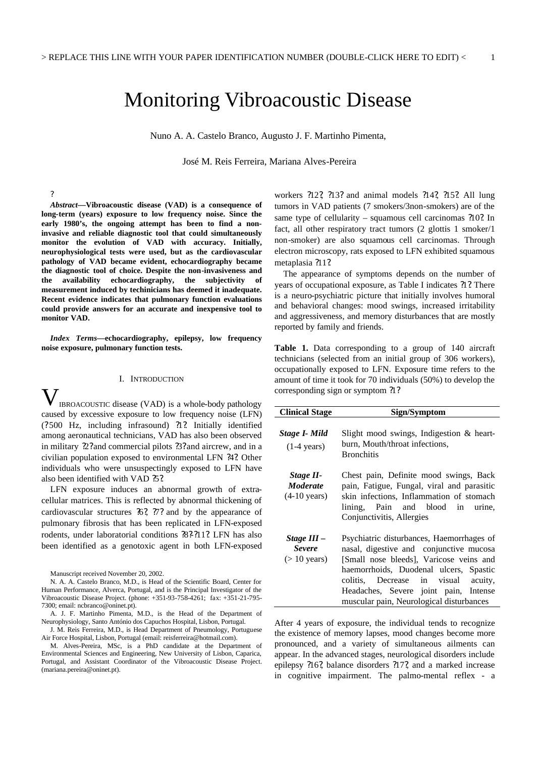# Monitoring Vibroacoustic Disease

Nuno A. A. Castelo Branco, Augusto J. F. Martinho Pimenta,

José M. Reis Ferreira, Mariana Alves-Pereira

*Abstract—***Vibroacoustic disease (VAD) is a consequence of long-term (years) exposure to low frequency noise. Since the early 1980's, the ongoing attempt has been to find a noninvasive and reliable diagnostic tool that could simultaneously monitor the evolution of VAD with accuracy. Initially, neurophysiological tests were used, but as the cardiovascular pathology of VAD became evident, echocardiography became the diagnostic tool of choice. Despite the non-invasiveness and the availability echocardiography, the subjectivity of measurement induced by techinicians has deemed it inadequate. Recent evidence indicates that pulmonary function evaluations could provide answers for an accurate and inexpensive tool to monitor VAD.** 

?

*Index Terms***—echocardiography, epilepsy, low frequency noise exposure, pulmonary function tests.**

# I. INTRODUCTION

IBROACOUSTIC disease (VAD) is a whole-body pathology caused by excessive exposure to low frequency noise (LFN) (?500 Hz, including infrasound) ?1?. Initially identified among aeronautical technicians, VAD has also been observed in military ?2? and commercial pilots ?3? and aircrew, and in a civilian population exposed to environmental LFN ?4?. Other individuals who were unsuspectingly exposed to LFN have also been identified with VAD  $25$ ?. V

LFN exposure induces an abnormal growth of extracellular matrices. This is reflected by abnormal thickening of cardiovascular structures ?6?, ?7? and by the appearance of pulmonary fibrosis that has been replicated in LFN-exposed rodents, under laboratorial conditions  $\frac{1}{2}$  2.92.11? LFN has also been identified as a genotoxic agent in both LFN-exposed

Manuscript received November 20, 2002.

J. M. Reis Ferreira, M.D., is Head Department of Pneumology, Portuguese Air Force Hospital, Lisbon, Portugal (email: reisferreira@hotmail.com).

M. Alves-Pereira, MSc, is a PhD candidate at the Department of Environmental Sciences and Engineering, New University of Lisbon, Caparica, Portugal, and Assistant Coordinator of the Vibroacoustic Disease Project. (mariana.pereira@oninet.pt).

workers ?12?, ?13? and animal models ?14?, ?15?. All lung tumors in VAD patients (7 smokers/3non-smokers) are of the same type of cellularity – squamous cell carcinomas ?10?. In fact, all other respiratory tract tumors (2 glottis 1 smoker/1 non-smoker) are also squamous cell carcinomas. Through electron microscopy, rats exposed to LFN exhibited squamous metaplasia ?11?.

The appearance of symptoms depends on the number of years of occupational exposure, as Table I indicates ?1?. There is a neuro-psychiatric picture that initially involves humoral and behavioral changes: mood swings, increased irritability and aggressiveness, and memory disturbances that are mostly reported by family and friends.

**Table 1.** Data corresponding to a group of 140 aircraft technicians (selected from an initial group of 306 workers), occupationally exposed to LFN. Exposure time refers to the amount of time it took for 70 individuals (50%) to develop the corresponding sign or symptom ?1?

| <b>Clinical Stage</b>                                  | Sign/Symptom                                                                                                                                                                                                                                                                                             |
|--------------------------------------------------------|----------------------------------------------------------------------------------------------------------------------------------------------------------------------------------------------------------------------------------------------------------------------------------------------------------|
| Stage I- Mild<br>$(1-4 \text{ years})$                 | Slight mood swings, Indigestion $\&$ heart-<br>burn, Mouth/throat infections,<br><b>Bronchitis</b>                                                                                                                                                                                                       |
| Stage II-<br><i>Moderate</i><br>$(4-10 \text{ years})$ | Chest pain, Definite mood swings, Back<br>pain, Fatigue, Fungal, viral and parasitic<br>skin infections, Inflammation of stomach<br>lining, Pain and blood in urine,<br>Conjunctivitis, Allergies                                                                                                        |
| Stage III –<br><b>Severe</b><br>$($ 10 years)          | Psychiatric disturbances, Haemorrhages of<br>nasal, digestive and conjunctive mucosa<br>[Small nose bleeds], Varicose veins and<br>haemorrhoids, Duodenal ulcers, Spastic<br>colitis, Decrease in visual<br>acuity,<br>Headaches, Severe joint pain, Intense<br>muscular pain, Neurological disturbances |

After 4 years of exposure, the individual tends to recognize the existence of memory lapses, mood changes become more pronounced, and a variety of simultaneous ailments can appear. In the advanced stages, neurological disorders include epilepsy ?16?, balance disorders ?17?, and a marked increase in cognitive impairment. The palmo-mental reflex - a

N. A. A. Castelo Branco, M.D., is Head of the Scientific Board, Center for Human Performance, Alverca, Portugal, and is the Principal Investigator of the Vibroacoustic Disease Project. (phone: +351-93-758-4261; fax: +351-21-795- 7300; email: ncbranco@oninet.pt).

A. J. F. Martinho Pimenta, M.D., is the Head of the Department of Neurophysiology, Santo António dos Capuchos Hospital, Lisbon, Portugal.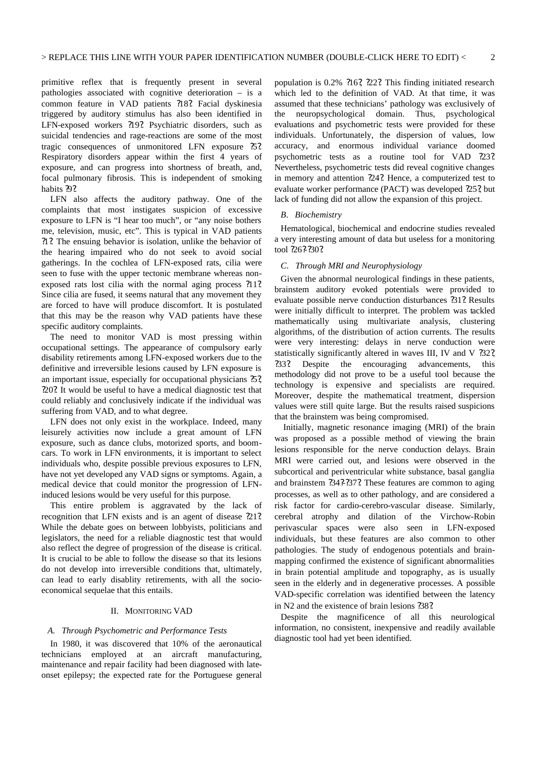primitive reflex that is frequently present in several pathologies associated with cognitive deterioration – is a common feature in VAD patients ?18?. Facial dyskinesia triggered by auditory stimulus has also been identified in LFN-exposed workers ?19?. Psychiatric disorders, such as suicidal tendencies and rage-reactions are some of the most tragic consequences of unmonitored LFN exposure ?5?. Respiratory disorders appear within the first 4 years of exposure, and can progress into shortness of breath, and, focal pulmonary fibrosis. This is independent of smoking habits ?9?.

LFN also affects the auditory pathway. One of the complaints that most instigates suspicion of excessive exposure to LFN is "I hear too much", or "any noise bothers me, television, music, etc". This is typical in VAD patients ?1?. The ensuing behavior is isolation, unlike the behavior of the hearing impaired who do not seek to avoid social gatherings. In the cochlea of LFN-exposed rats, cilia were seen to fuse with the upper tectonic membrane whereas nonexposed rats lost cilia with the normal aging process ?11?. Since cilia are fused, it seems natural that any movement they are forced to have will produce discomfort. It is postulated that this may be the reason why VAD patients have these specific auditory complaints.

The need to monitor VAD is most pressing within occupational settings. The appearance of compulsory early disability retirements among LFN-exposed workers due to the definitive and irreversible lesions caused by LFN exposure is an important issue, especially for occupational physicians ?5?, ?20?. It would be useful to have a medical diagnostic test that could reliably and conclusively indicate if the individual was suffering from VAD, and to what degree.

LFN does not only exist in the workplace. Indeed, many leisurely activities now include a great amount of LFN exposure, such as dance clubs, motorized sports, and boomcars. To work in LFN environments, it is important to select individuals who, despite possible previous exposures to LFN, have not yet developed any VAD signs or symptoms. Again, a medical device that could monitor the progression of LFNinduced lesions would be very useful for this purpose.

This entire problem is aggravated by the lack of recognition that LFN exists and is an agent of disease  $212$ . While the debate goes on between lobbyists, politicians and legislators, the need for a reliable diagnostic test that would also reflect the degree of progression of the disease is critical. It is crucial to be able to follow the disease so that its lesions do not develop into irreversible conditions that, ultimately, can lead to early disablity retirements, with all the socioeconomical sequelae that this entails.

#### II. MONITORING VAD

#### *A. Through Psychometric and Performance Tests*

In 1980, it was discovered that 10% of the aeronautical technicians employed at an aircraft manufacturing, maintenance and repair facility had been diagnosed with lateonset epilepsy; the expected rate for the Portuguese general

population is 0.2% ?16?, ?22?. This finding initiated research which led to the definition of VAD. At that time, it was assumed that these technicians' pathology was exclusively of the neuropsychological domain. Thus, psychological evaluations and psychometric tests were provided for these individuals. Unfortunately, the dispersion of values, low accuracy, and enormous individual variance doomed psychometric tests as a routine tool for VAD ?23?. Nevertheless, psychometric tests did reveal cognitive changes in memory and attention ?24?. Hence, a computerized test to evaluate worker performance (PACT) was developed ?25?, but lack of funding did not allow the expansion of this project.

# *B. Biochemistry*

Hematological, biochemical and endocrine studies revealed a very interesting amount of data but useless for a monitoring tool ?26?-?30?.

## *C. Through MRI and Neurophysiology*

Given the abnormal neurological findings in these patients, brainstem auditory evoked potentials were provided to evaluate possible nerve conduction disturbances ?31?. Results were initially difficult to interpret. The problem was tackled mathematically using multivariate analysis, clustering algorithms, of the distribution of action currents. The results were very interesting: delays in nerve conduction were statistically significantly altered in waves III, IV and V ?32? ?33?. Despite the encouraging advancements, this methodology did not prove to be a useful tool because the technology is expensive and specialists are required. Moreover, despite the mathematical treatment, dispersion values were still quite large. But the results raised suspicions that the brainstem was being compromised.

Initially, magnetic resonance imaging (MRI) of the brain was proposed as a possible method of viewing the brain lesions responsible for the nerve conduction delays. Brain MRI were carried out, and lesions were observed in the subcortical and periventricular white substance, basal ganglia and brainstem  $.342.372$ . These features are common to aging processes, as well as to other pathology, and are considered a risk factor for cardio-cerebro-vascular disease. Similarly, cerebral atrophy and dilation of the Virchow-Robin perivascular spaces were also seen in LFN-exposed individuals, but these features are also common to other pathologies. The study of endogenous potentials and brainmapping confirmed the existence of significant abnormalities in brain potential amplitude and topography, as is usually seen in the elderly and in degenerative processes. A possible VAD-specific correlation was identified between the latency in N2 and the existence of brain lesions ?38?.

Despite the magnificence of all this neurological information, no consistent, inexpensive and readily available diagnostic tool had yet been identified.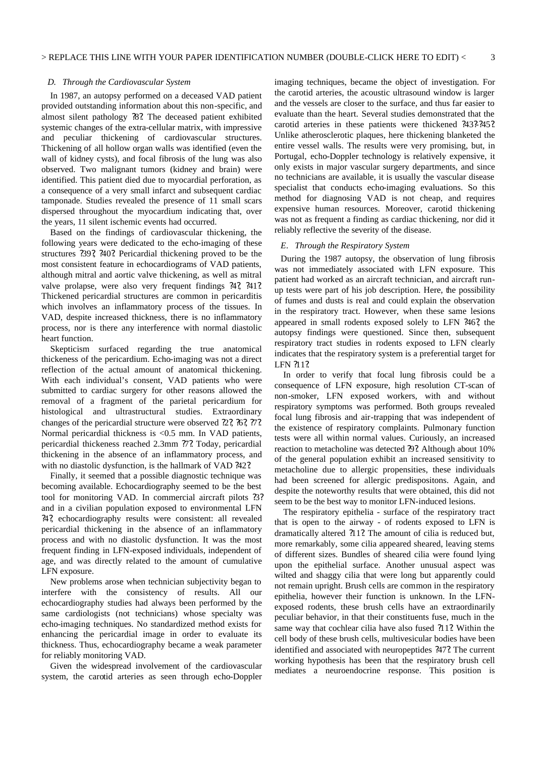## *D. Through the Cardiovascular System*

In 1987, an autopsy performed on a deceased VAD patient provided outstanding information about this non-specific, and almost silent pathology ?8?. The deceased patient exhibited systemic changes of the extra-cellular matrix, with impressive and peculiar thickening of cardiovascular structures. Thickening of all hollow organ walls was identified (even the wall of kidney cysts), and focal fibrosis of the lung was also observed. Two malignant tumors (kidney and brain) were identified. This patient died due to myocardial perforation, as a consequence of a very small infarct and subsequent cardiac tamponade. Studies revealed the presence of 11 small scars dispersed throughout the myocardium indicating that, over the years, 11 silent ischemic events had occurred.

Based on the findings of cardiovascular thickening, the following years were dedicated to the echo-imaging of these structures ?39?, ?40?. Pericardial thickening proved to be the most consistent feature in echocardiograms of VAD patients, although mitral and aortic valve thickening, as well as mitral valve prolapse, were also very frequent findings ?4?, ?41?. Thickened pericardial structures are common in pericarditis which involves an inflammatory process of the tissues. In VAD, despite increased thickness, there is no inflammatory process, nor is there any interference with normal diastolic heart function.

Skepticism surfaced regarding the true anatomical thickeness of the pericardium. Echo-imaging was not a direct reflection of the actual amount of anatomical thickening. With each individual's consent, VAD patients who were submitted to cardiac surgery for other reasons allowed the removal of a fragment of the parietal pericardium for histological and ultrastructural studies. Extraordinary changes of the pericardial structure were observed  $22, 26, 77$ . Normal pericardial thickness is <0.5 mm. In VAD patients, pericardial thickeness reached 2.3mm ?7?. Today, pericardial thickening in the absence of an inflammatory process, and with no diastolic dysfunction, is the hallmark of VAD ?42?.

Finally, it seemed that a possible diagnostic technique was becoming available. Echocardiography seemed to be the best tool for monitoring VAD. In commercial aircraft pilots ?3? and in a civilian population exposed to environmental LFN ?4?, echocardiography results were consistent: all revealed pericardial thickening in the absence of an inflammatory process and with no diastolic dysfunction. It was the most frequent finding in LFN-exposed individuals, independent of age, and was directly related to the amount of cumulative LFN exposure.

New problems arose when technician subjectivity began to interfere with the consistency of results. All our echocardiography studies had always been performed by the same cardiologists (not technicians) whose specialty was echo-imaging techniques. No standardized method exists for enhancing the pericardial image in order to evaluate its thickness. Thus, echocardiography became a weak parameter for reliably monitoring VAD.

Given the widespread involvement of the cardiovascular system, the carotid arteries as seen through echo-Doppler imaging techniques, became the object of investigation. For the carotid arteries, the acoustic ultrasound window is larger and the vessels are closer to the surface, and thus far easier to evaluate than the heart. Several studies demonstrated that the carotid arteries in these patients were thickened ?43?-?45?. Unlike atherosclerotic plaques, here thickening blanketed the entire vessel walls. The results were very promising, but, in Portugal, echo-Doppler technology is relatively expensive, it only exists in major vascular surgery departments, and since no technicians are available, it is usually the vascular disease specialist that conducts echo-imaging evaluations. So this method for diagnosing VAD is not cheap, and requires expensive human resources. Moreover, carotid thickening was not as frequent a finding as cardiac thickening, nor did it reliably reflective the severity of the disease.

#### *E. Through the Respiratory System*

During the 1987 autopsy, the observation of lung fibrosis was not immediately associated with LFN exposure. This patient had worked as an aircraft technician, and aircraft runup tests were part of his job description. Here, the possibility of fumes and dusts is real and could explain the observation in the respiratory tract. However, when these same lesions appeared in small rodents exposed solely to LFN ?46?, the autopsy findings were questioned. Since then, subsequent respiratory tract studies in rodents exposed to LFN clearly indicates that the respiratory system is a preferential target for LFN ?11?.

In order to verify that focal lung fibrosis could be a consequence of LFN exposure, high resolution CT-scan of non-smoker, LFN exposed workers, with and without respiratory symptoms was performed. Both groups revealed focal lung fibrosis and air-trapping that was independent of the existence of respiratory complaints. Pulmonary function tests were all within normal values. Curiously, an increased reaction to metacholine was detected ?9?. Although about 10% of the general population exhibit an increased sensitivity to metacholine due to allergic propensities, these individuals had been screened for allergic predispositons. Again, and despite the noteworthy results that were obtained, this did not seem to be the best way to monitor LFN-induced lesions.

The respiratory epithelia - surface of the respiratory tract that is open to the airway - of rodents exposed to LFN is dramatically altered ?11?. The amount of cilia is reduced but, more remarkably, some cilia appeared sheared, leaving stems of different sizes. Bundles of sheared cilia were found lying upon the epithelial surface. Another unusual aspect was wilted and shaggy cilia that were long but apparently could not remain upright. Brush cells are common in the respiratory epithelia, however their function is unknown. In the LFNexposed rodents, these brush cells have an extraordinarily peculiar behavior, in that their constituents fuse, much in the same way that cochlear cilia have also fused ?11?. Within the cell body of these brush cells, multivesicular bodies have been identified and associated with neuropeptides ?47?. The current working hypothesis has been that the respiratory brush cell mediates a neuroendocrine response. This position is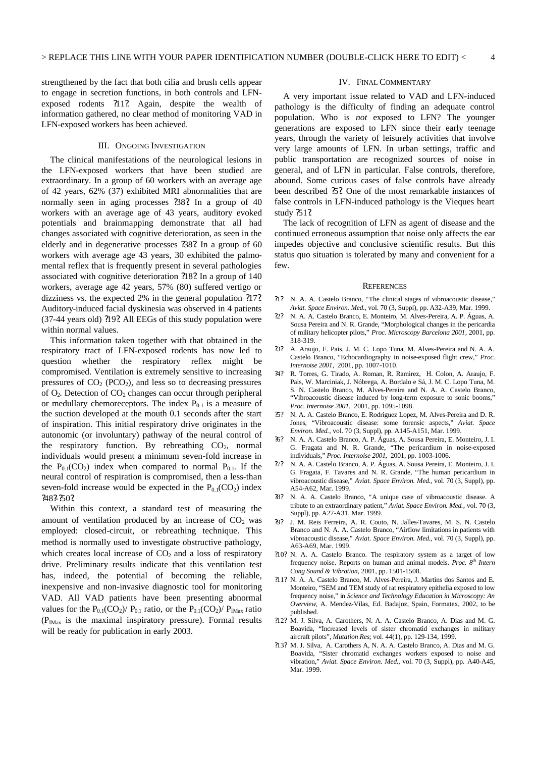strengthened by the fact that both cilia and brush cells appear to engage in secretion functions, in both controls and LFNexposed rodents ?11?. Again, despite the wealth of information gathered, no clear method of monitoring VAD in LFN-exposed workers has been achieved.

# III. ONGOING INVESTIGATION

The clinical manifestations of the neurological lesions in the LFN-exposed workers that have been studied are extraordinary. In a group of 60 workers with an average age of 42 years, 62% (37) exhibited MRI abnormalities that are normally seen in aging processes ?38?. In a group of 40 workers with an average age of 43 years, auditory evoked potentials and brainmapping demonstrate that all had changes associated with cognitive deterioration, as seen in the elderly and in degenerative processes ?38?. In a group of 60 workers with average age 43 years, 30 exhibited the palmomental reflex that is frequently present in several pathologies associated with cognitive deterioration ?18?. In a group of 140 workers, average age 42 years, 57% (80) suffered vertigo or dizziness vs. the expected 2% in the general population ?17?. Auditory-induced facial dyskinesia was observed in 4 patients (37-44 years old) ?19?. All EEGs of this study population were within normal values.

This information taken together with that obtained in the respiratory tract of LFN-exposed rodents has now led to question whether the respiratory reflex might be compromised. Ventilation is extremely sensitive to increasing pressures of  $CO<sub>2</sub>$  (PCO<sub>2</sub>), and less so to decreasing pressures of  $O_2$ . Detection of  $CO_2$  changes can occur through peripheral or medullary chemoreceptors. The index  $P_{0,1}$  is a measure of the suction developed at the mouth 0.1 seconds after the start of inspiration. This initial respiratory drive originates in the autonomic (or involuntary) pathway of the neural control of the respiratory function. By rebreathing  $CO<sub>2</sub>$ , normal individuals would present a minimum seven-fold increase in the  $P_{0.1}(CO_2)$  index when compared to normal  $P_{0.1}$ . If the neural control of respiration is compromised, then a less-than seven-fold increase would be expected in the  $P_{0.1}(CO_2)$  index 24822502

Within this context, a standard test of measuring the amount of ventilation produced by an increase of  $CO<sub>2</sub>$  was employed: closed-circuit, or rebreathing technique. This method is normally used to investigate obstructive pathology, which creates local increase of  $CO<sub>2</sub>$  and a loss of respiratory drive. Preliminary results indicate that this ventilation test has, indeed, the potential of becoming the reliable, inexpensive and non-invasive diagnostic tool for monitoring VAD. All VAD patients have been presenting abnormal values for the  $P_{0.1}(CO_2)/P_{0.1}$  ratio, or the  $P_{0.1}(CO_2)/P_{IMax}$  ratio  $(P_{IMax}$  is the maximal inspiratory pressure). Formal results will be ready for publication in early 2003.

#### IV. FINAL COMMENTARY

A very important issue related to VAD and LFN-induced pathology is the difficulty of finding an adequate control population. Who is *not* exposed to LFN? The younger generations are exposed to LFN since their early teenage years, through the variety of leisurely activities that involve very large amounts of LFN. In urban settings, traffic and public transportation are recognized sources of noise in general, and of LFN in particular. False controls, therefore, abound. Some curious cases of false controls have already been described ?5?. One of the most remarkable instances of false controls in LFN-induced pathology is the Vieques heart study ?51?.

The lack of recognition of LFN as agent of disease and the continued erroneous assumption that noise only affects the ear impedes objective and conclusive scientific results. But this status quo situation is tolerated by many and convenient for a few.

#### **REFERENCES**

- ?1? N. A. A. Castelo Branco, "The clinical stages of vibroacoustic disease," *Aviat. Space Environ. Med.*, vol. 70 (3, Suppl), pp. A32-A39, Mar. 1999.
- ?2? N. A. A. Castelo Branco, E. Monteiro, M. Alves-Pereira, A. P. Águas, A. Sousa Pereira and N. R. Grande, "Morphological changes in the pericardia of military helicopter pilots," *Proc. Microscopy Barcelona 2001*, 2001, pp. 318-319.
- ?3? A. Araujo, F. Pais, J. M. C. Lopo Tuna, M. Alves-Pereira and N. A. A. Castelo Branco, "Echocardiography in noise-exposed flight crew," *Proc. Internoise 2001*, 2001, pp. 1007-1010.
- ?4? R. Torres, G. Tirado, A. Roman, R. Ramirez, H. Colon, A. Araujo, F. Pais, W. Marciniak, J. Nóbrega, A. Bordalo e Sá, J. M. C. Lopo Tuna, M. S. N. Castelo Branco, M. Alves-Pereira and N. A. A. Castelo Branco, "Vibroacoustic disease induced by long-term exposure to sonic booms," *Proc. Internoise 2001*, 2001, pp. 1095-1098.
- ?5? N. A. A. Castelo Branco, E. Rodriguez Lopez, M. Alves-Pereira and D. R. Jones, "Vibroacoustic disease: some forensic aspects," *Aviat. Space Environ. Med.*, vol. 70 (3, Suppl), pp. A145-A151, Mar. 1999.
- ?6? N. A. A. Castelo Branco, A. P. Águas, A. Sousa Pereira, E. Monteiro, J. I. G. Fragata and N. R. Grande, "The pericardium in noise-exposed individuals," *Proc. Internoise 2001*, 2001, pp. 1003-1006.
- ?7? N. A. A. Castelo Branco, A. P. Águas, A. Sousa Pereira, E. Monteiro, J. I. G. Fragata, F. Tavares and N. R. Grande, "The human pericardium in vibroacoustic disease," *Aviat. Space Environ. Med.*, vol. 70 (3, Suppl), pp. A54-A62, Mar. 1999.
- ?8? N. A. A. Castelo Branco, "A unique case of vibroacoustic disease. A tribute to an extraordinary patient," *Aviat. Space Environ. Med.*, vol. 70 (3, Suppl), pp. A27-A31, Mar. 1999.
- ?9? J. M. Reis Ferreira, A. R. Couto, N. Jalles-Tavares, M. S. N. Castelo Branco and N. A. A. Castelo Branco, "Airflow limitations in patients with vibroacoustic disease," *Aviat. Space Environ. Med.*, vol. 70 (3, Suppl), pp. A63-A69, Mar. 1999.
- ?10? N. A. A. Castelo Branco. The respiratory system as a target of low frequency noise. Reports on human and animal models. *Proc. 8<sup>th</sup>* Intern *Cong Sound & Vibration*, 2001, pp. 1501-1508.
- ?11? N. A. A. Castelo Branco, M. Alves-Pereira, J. Martins dos Santos and E. Monteiro, "SEM and TEM study of rat respiratory epithelia exposed to low frequency noise," in *Science and Technology Education in Microscopy: An Overview*, A. Mendez-Vilas, Ed. Badajoz, Spain, Formatex, 2002, to be published.
- ?12? M. J. Silva, A. Carothers, N. A. A. Castelo Branco, A. Dias and M. G. Boavida, "Increased levels of sister chromatid exchanges in military aircraft pilots", *Mutation Res*; vol. 44(1), pp. 129-134, 1999.
- ?13? M. J. Silva, A. Carothers A, N. A. A. Castelo Branco, A. Dias and M. G. Boavida, "Sister chromatid exchanges workers exposed to noise and vibration," *Aviat. Space Environ. Med.*, vol. 70 (3, Suppl), pp. A40-A45, Mar. 1999.